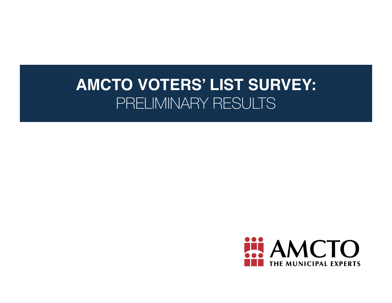# **AMCTO VOTERS' LIST SURVEY:**  PRELIMINARY RESULTS

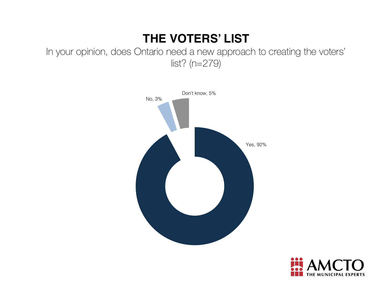## **THE VOTERS' LIST**

In your opinion, does Ontario need a new approach to creating the voters' list? (n=279)



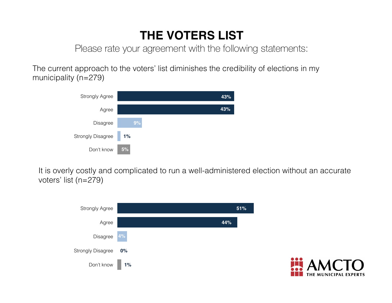## **THE VOTERS LIST**

Please rate your agreement with the following statements:

The current approach to the voters' list diminishes the credibility of elections in my municipality (n=279)



It is overly costly and complicated to run a well-administered election without an accurate voters' list (n=279)



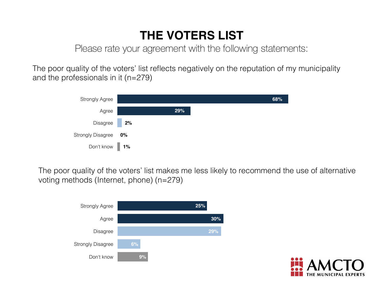## **THE VOTERS LIST**

Please rate your agreement with the following statements:

The poor quality of the voters' list reflects negatively on the reputation of my municipality and the professionals in it (n=279)



The poor quality of the voters' list makes me less likely to recommend the use of alternative voting methods (Internet, phone) (n=279)



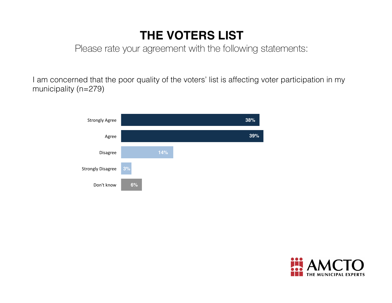## **THE VOTERS LIST**

Please rate your agreement with the following statements:

I am concerned that the poor quality of the voters' list is affecting voter participation in my municipality (n=279)



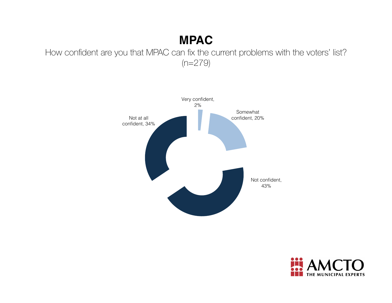### **MPAC**

How confident are you that MPAC can fix the current problems with the voters' list? (n=279)



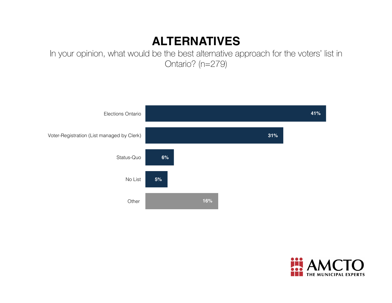#### **ALTERNATIVES**

In your opinion, what would be the best alternative approach for the voters' list in Ontario? (n=279)



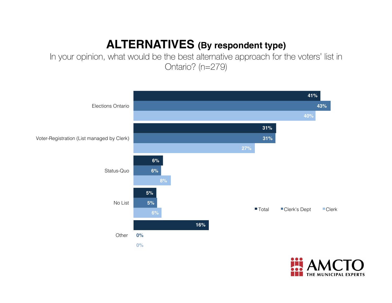### **ALTERNATIVES (By respondent type)**

In your opinion, what would be the best alternative approach for the voters' list in Ontario? (n=279)